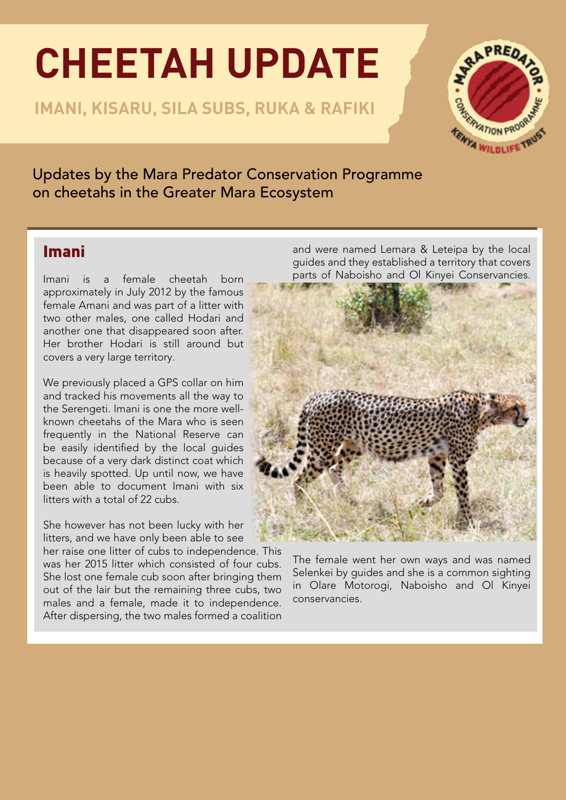# **CHEETAH UPDATE**

**IMANI, KISARU, SILA SUBS, RUKA & RAFIKI**



Updates by the Mara Predator Conservation Programme on cheetahs in the Greater Mara Ecosystem

## Imani

Imani is a female cheetah born approximately in July 2012 by the famous female Amani and was part of a litter with two other males, one called Hodari and another one that disappeared soon after. Her brother Hodari is still around but covers a very large territory.

We previously placed a GPS collar on him and tracked his movements all the way to the Serengeti. Imani is one the more wellknown cheetahs of the Mara who is seen frequently in the National Reserve can be easily identified by the local guides because of a very dark distinct coat which is heavily spotted. Up until now, we have been able to document Imani with six litters with a total of 22 cubs.

She however has not been lucky with her litters, and we have only been able to see

her raise one litter of cubs to independence. This was her 2015 litter which consisted of four cubs. She lost one female cub soon after bringing them out of the lair but the remaining three cubs, two males and a female, made it to independence. After dispersing, the two males formed a coalition and were named Lemara & Leteipa by the local guides and they established a territory that covers parts of Naboisho and Ol Kinyei Conservancies.



The female went her own ways and was named Selenkei by guides and she is a common sighting in Olare Motorogi, Naboisho and Ol Kinyei conservancies.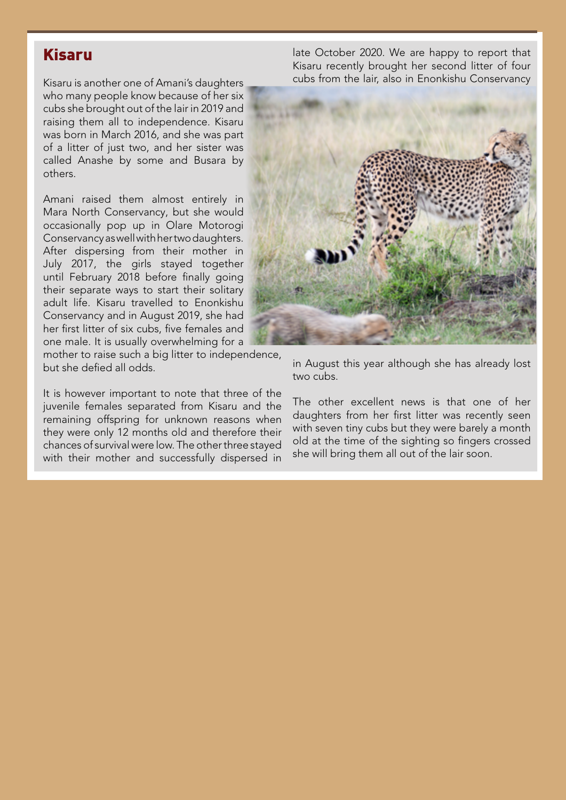### Kisaru

Kisaru is another one of Amani's daughters who many people know because of her six cubs she brought out of the lair in 2019 and raising them all to independence. Kisaru was born in March 2016, and she was part of a litter of just two, and her sister was called Anashe by some and Busara by others.

Amani raised them almost entirely in Mara North Conservancy, but she would occasionally pop up in Olare Motorogi Conservancy as well with her two daughters. After dispersing from their mother in July 2017, the girls stayed together until February 2018 before finally going their separate ways to start their solitary adult life. Kisaru travelled to Enonkishu Conservancy and in August 2019, she had her first litter of six cubs, five females and one male. It is usually overwhelming for a

mother to raise such a big litter to independence, but she defied all odds.

It is however important to note that three of the juvenile females separated from Kisaru and the remaining offspring for unknown reasons when they were only 12 months old and therefore their chances of survival were low. The other three stayed with their mother and successfully dispersed in late October 2020. We are happy to report that Kisaru recently brought her second litter of four cubs from the lair, also in Enonkishu Conservancy



in August this year although she has already lost two cubs.

The other excellent news is that one of her daughters from her first litter was recently seen with seven tiny cubs but they were barely a month old at the time of the sighting so fingers crossed she will bring them all out of the lair soon.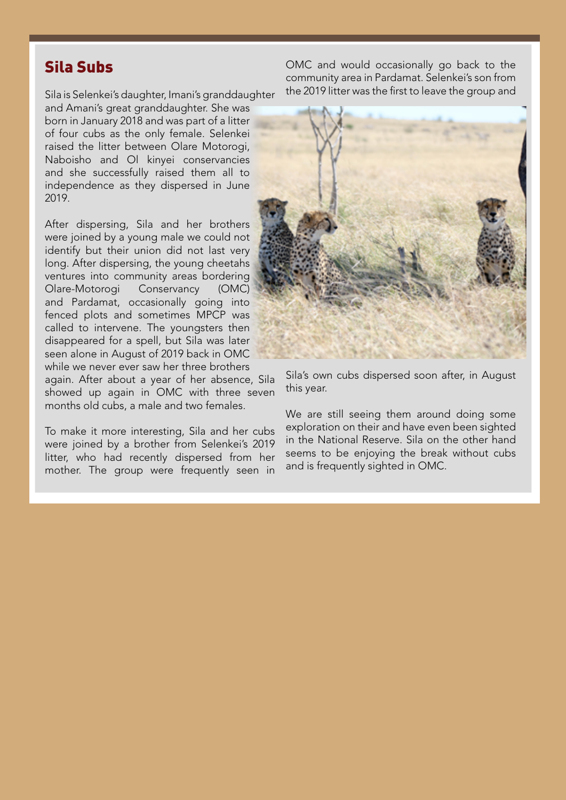#### Sila Subs

Sila is Selenkei's daughter, Imani's granddaughter and Amani's great granddaughter. She was born in January 2018 and was part of a litter of four cubs as the only female. Selenkei raised the litter between Olare Motorogi, Naboisho and Ol kinyei conservancies and she successfully raised them all to independence as they dispersed in June 2019.

After dispersing, Sila and her brothers were joined by a young male we could not identify but their union did not last very long. After dispersing, the young cheetahs ventures into community areas bordering Olare-Motorogi Conservancy (OMC) and Pardamat, occasionally going into fenced plots and sometimes MPCP was called to intervene. The youngsters then disappeared for a spell, but Sila was later seen alone in August of 2019 back in OMC while we never ever saw her three brothers

again. After about a year of her absence, Sila showed up again in OMC with three seven months old cubs, a male and two females.

To make it more interesting, Sila and her cubs were joined by a brother from Selenkei's 2019 litter, who had recently dispersed from her mother. The group were frequently seen in

OMC and would occasionally go back to the community area in Pardamat. Selenkei's son from the 2019 litter was the first to leave the group and



Sila's own cubs dispersed soon after, in August this year.

We are still seeing them around doing some exploration on their and have even been sighted in the National Reserve. Sila on the other hand seems to be enjoying the break without cubs and is frequently sighted in OMC.